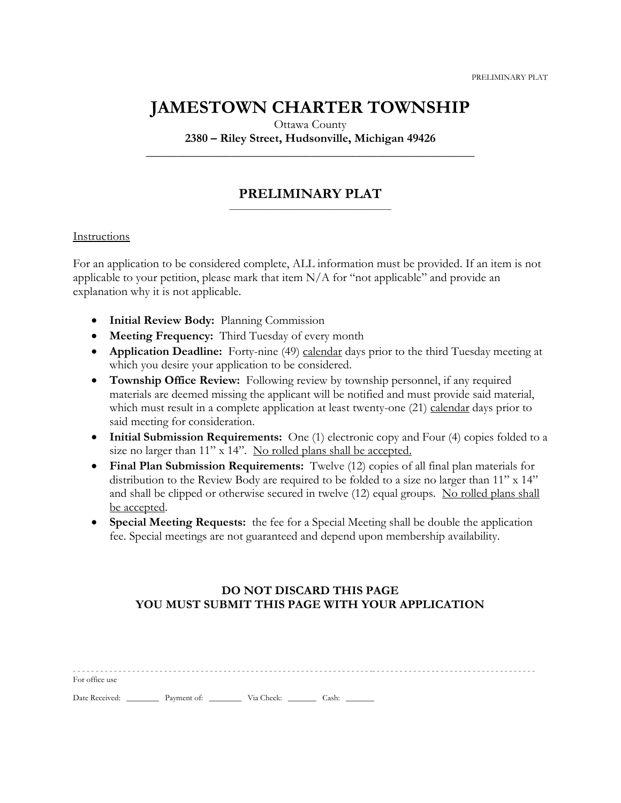## **JAMESTOWN CHARTER TOWNSHIP**

Ottawa County

**2380 – Riley Street, Hudsonville, Michigan 49426 \_\_\_\_\_\_\_\_\_\_\_\_\_\_\_\_\_\_\_\_\_\_\_\_\_\_\_\_\_\_\_\_\_\_\_\_\_\_\_\_\_\_\_\_\_\_\_\_\_\_\_\_\_\_**

#### **PRELIMINARY PLAT** \_\_\_\_\_\_\_\_\_\_\_\_\_\_\_\_\_\_\_\_\_\_\_\_\_\_\_\_\_\_\_\_\_\_\_\_\_\_\_\_

### Instructions

For an application to be considered complete, ALL information must be provided. If an item is not applicable to your petition, please mark that item N/A for "not applicable" and provide an explanation why it is not applicable.

- **Initial Review Body:** Planning Commission
- **Meeting Frequency:** Third Tuesday of every month
- **Application Deadline:** Forty-nine (49) calendar days prior to the third Tuesday meeting at which you desire your application to be considered.
- **Township Office Review:** Following review by township personnel, if any required materials are deemed missing the applicant will be notified and must provide said material, which must result in a complete application at least twenty-one (21) calendar days prior to said meeting for consideration.
- **Initial Submission Requirements:** One (1) electronic copy and Four (4) copies folded to a size no larger than 11" x 14". No rolled plans shall be accepted.
- **Final Plan Submission Requirements:** Twelve (12) copies of all final plan materials for distribution to the Review Body are required to be folded to a size no larger than 11" x 14" and shall be clipped or otherwise secured in twelve (12) equal groups. No rolled plans shall be accepted.
- **Special Meeting Requests:** the fee for a Special Meeting shall be double the application fee. Special meetings are not guaranteed and depend upon membership availability.

## **DO NOT DISCARD THIS PAGE YOU MUST SUBMIT THIS PAGE WITH YOUR APPLICATION**

| For office use |  |  |
|----------------|--|--|

Date Received: \_\_\_\_\_\_\_\_\_\_ Payment of: \_\_\_\_\_\_\_\_\_\_ Via Check: \_\_\_\_\_\_\_\_ Cash: \_\_\_\_\_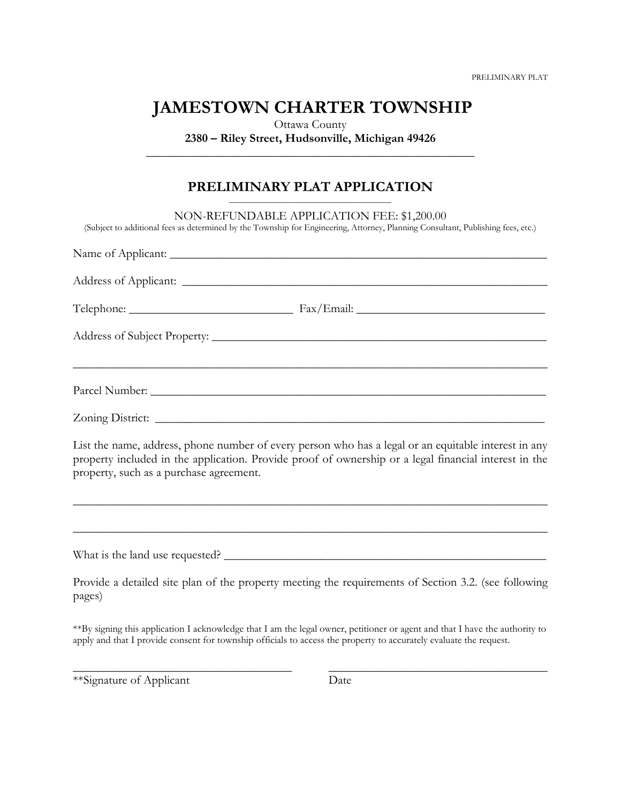PRELIMINARY PLAT

# **JAMESTOWN CHARTER TOWNSHIP**

Ottawa County **2380 – Riley Street, Hudsonville, Michigan 49426 \_\_\_\_\_\_\_\_\_\_\_\_\_\_\_\_\_\_\_\_\_\_\_\_\_\_\_\_\_\_\_\_\_\_\_\_\_\_\_\_\_\_\_\_\_\_\_\_\_\_\_\_\_\_**

## **PRELIMINARY PLAT APPLICATION**

| NON-REFUNDABLE APPLICATION FEE: \$1,200.00<br>(Subject to additional fees as determined by the Township for Engineering, Attorney, Planning Consultant, Publishing fees, etc.)                                                                           |  |
|----------------------------------------------------------------------------------------------------------------------------------------------------------------------------------------------------------------------------------------------------------|--|
|                                                                                                                                                                                                                                                          |  |
|                                                                                                                                                                                                                                                          |  |
|                                                                                                                                                                                                                                                          |  |
|                                                                                                                                                                                                                                                          |  |
|                                                                                                                                                                                                                                                          |  |
|                                                                                                                                                                                                                                                          |  |
| List the name, address, phone number of every person who has a legal or an equitable interest in any<br>property included in the application. Provide proof of ownership or a legal financial interest in the<br>property, such as a purchase agreement. |  |
|                                                                                                                                                                                                                                                          |  |
|                                                                                                                                                                                                                                                          |  |
| Provide a detailed site plan of the property meeting the requirements of Section 3.2. (see following<br>pages)                                                                                                                                           |  |
|                                                                                                                                                                                                                                                          |  |

\*\*By signing this application I acknowledge that I am the legal owner, petitioner or agent and that I have the authority to apply and that I provide consent for township officials to access the property to accurately evaluate the request.

\_\_\_\_\_\_\_\_\_\_\_\_\_\_\_\_\_\_\_\_\_\_\_\_\_\_\_\_\_\_\_\_\_\_\_\_ \_\_\_\_\_\_\_\_\_\_\_\_\_\_\_\_\_\_\_\_\_\_\_\_\_\_\_\_\_\_\_\_\_\_\_\_

\*\*Signature of Applicant Date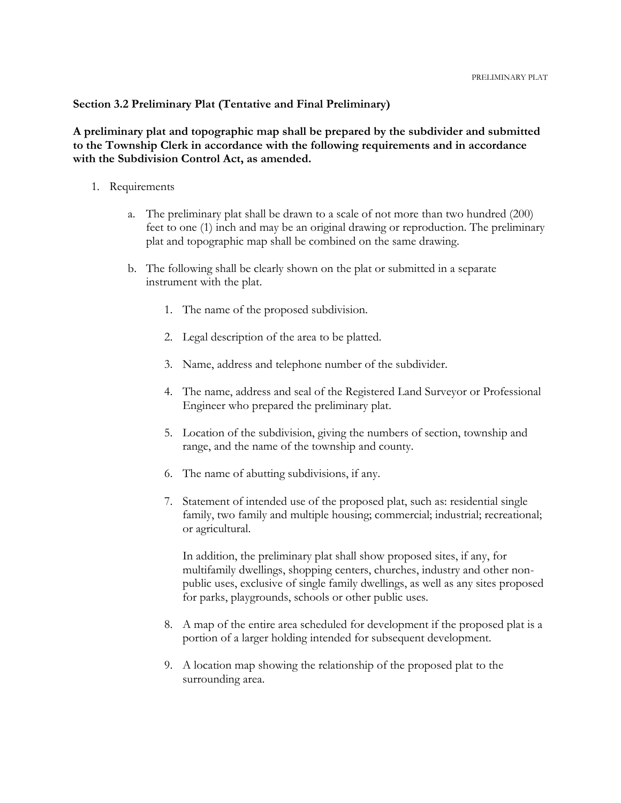### **Section 3.2 Preliminary Plat (Tentative and Final Preliminary)**

**A preliminary plat and topographic map shall be prepared by the subdivider and submitted to the Township Clerk in accordance with the following requirements and in accordance with the Subdivision Control Act, as amended.**

- 1. Requirements
	- a. The preliminary plat shall be drawn to a scale of not more than two hundred (200) feet to one (1) inch and may be an original drawing or reproduction. The preliminary plat and topographic map shall be combined on the same drawing.
	- b. The following shall be clearly shown on the plat or submitted in a separate instrument with the plat.
		- 1. The name of the proposed subdivision.
		- 2. Legal description of the area to be platted.
		- 3. Name, address and telephone number of the subdivider.
		- 4. The name, address and seal of the Registered Land Surveyor or Professional Engineer who prepared the preliminary plat.
		- 5. Location of the subdivision, giving the numbers of section, township and range, and the name of the township and county.
		- 6. The name of abutting subdivisions, if any.
		- 7. Statement of intended use of the proposed plat, such as: residential single family, two family and multiple housing; commercial; industrial; recreational; or agricultural.

In addition, the preliminary plat shall show proposed sites, if any, for multifamily dwellings, shopping centers, churches, industry and other nonpublic uses, exclusive of single family dwellings, as well as any sites proposed for parks, playgrounds, schools or other public uses.

- 8. A map of the entire area scheduled for development if the proposed plat is a portion of a larger holding intended for subsequent development.
- 9. A location map showing the relationship of the proposed plat to the surrounding area.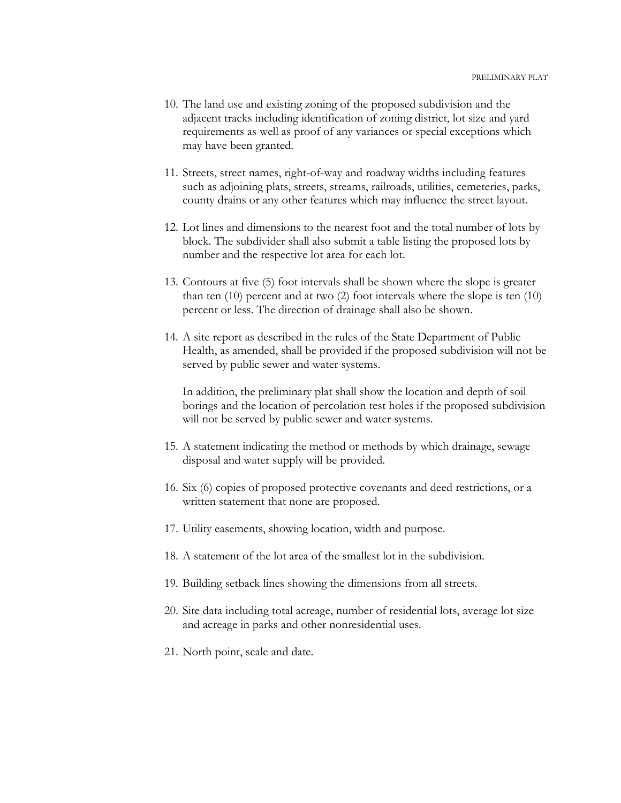- 10. The land use and existing zoning of the proposed subdivision and the adjacent tracks including identification of zoning district, lot size and yard requirements as well as proof of any variances or special exceptions which may have been granted.
- 11. Streets, street names, right-of-way and roadway widths including features such as adjoining plats, streets, streams, railroads, utilities, cemeteries, parks, county drains or any other features which may influence the street layout.
- 12. Lot lines and dimensions to the nearest foot and the total number of lots by block. The subdivider shall also submit a table listing the proposed lots by number and the respective lot area for each lot.
- 13. Contours at five (5) foot intervals shall be shown where the slope is greater than ten (10) percent and at two (2) foot intervals where the slope is ten (10) percent or less. The direction of drainage shall also be shown.
- 14. A site report as described in the rules of the State Department of Public Health, as amended, shall be provided if the proposed subdivision will not be served by public sewer and water systems.

In addition, the preliminary plat shall show the location and depth of soil borings and the location of percolation test holes if the proposed subdivision will not be served by public sewer and water systems.

- 15. A statement indicating the method or methods by which drainage, sewage disposal and water supply will be provided.
- 16. Six (6) copies of proposed protective covenants and deed restrictions, or a written statement that none are proposed.
- 17. Utility easements, showing location, width and purpose.
- 18. A statement of the lot area of the smallest lot in the subdivision.
- 19. Building setback lines showing the dimensions from all streets.
- 20. Site data including total acreage, number of residential lots, average lot size and acreage in parks and other nonresidential uses.
- 21. North point, scale and date.